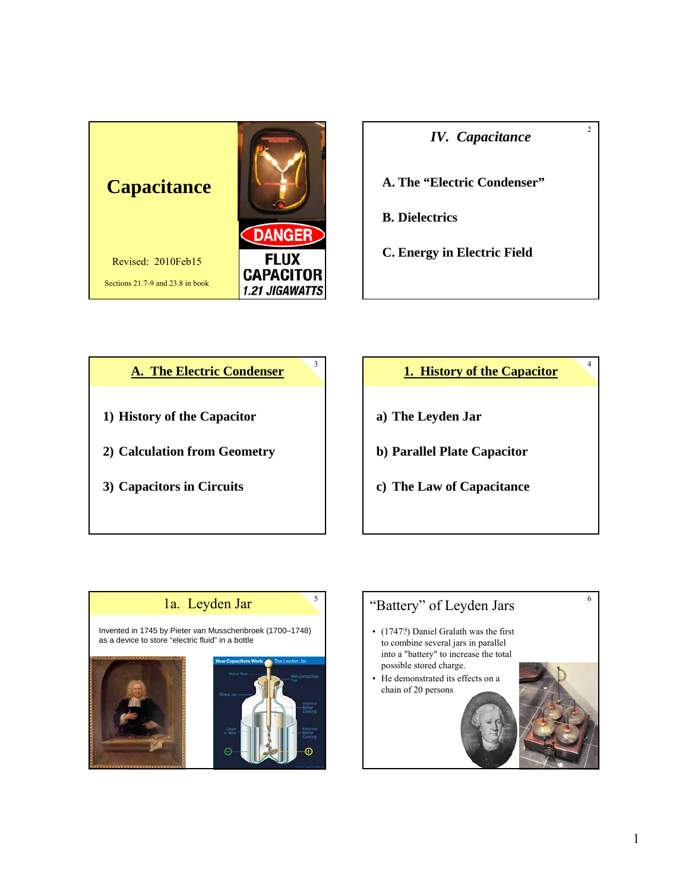

*IV. Capacitance*

 $\overline{2}$ 

4

**A. The "Electric Condenser"**

- **B. Dielectrics**
- **C. Energy in Electric Field**



# **1. History of the Capacitor**

- **a) The Leyden Jar**
- **b) Parallel Plate Capacitor**
- **c) The Law of Capacitance**



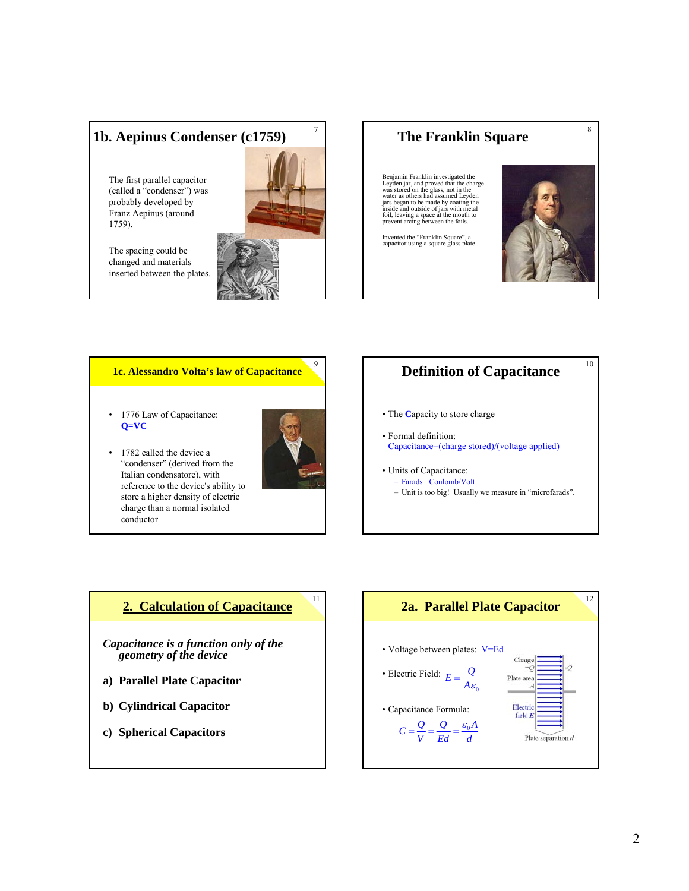# **1b. Aepinus Condenser (c1759)**

The first parallel capacitor (called a "condenser") was probably developed by Franz Aepinus (around 1759).



7

The spacing could be changed and materials inserted between the plates.

# **The Franklin Square**

Benjamin Franklin investigated the charge was stored on the glass, not in the cwater as others had assumed Leyden jars began to be made by coating the inside and outside of jars with metal foil, leaving a space at the mouth to prevent arcing between the foils.

Invented the "Franklin Square", a capacitor using a square glass plate.



8

10

#### **1c. Alessandro Volta's law of Capacitance**

- 1776 Law of Capacitance: **Q=VC**
- 1782 called the device a "condenser" (derived from the Italian condensatore), with reference to the device's ability to store a higher density of electric charge than a normal isolated conductor



9

11

## **Definition of Capacitance**

- The **C**apacity to store charge
- Formal definition: Capacitance=(charge stored)/(voltage applied)
- Units of Capacitance: – Farads =Coulomb/Volt – Unit is too big! Usually we measure in "microfarads".

**2. Calculation of Capacitance**

*Capacitance is a function only of the geometry of the device*

- **a) Parallel Plate Capacitor**
- **b) Cylindrical Capacitor**
- **c) Spherical Capacitors**

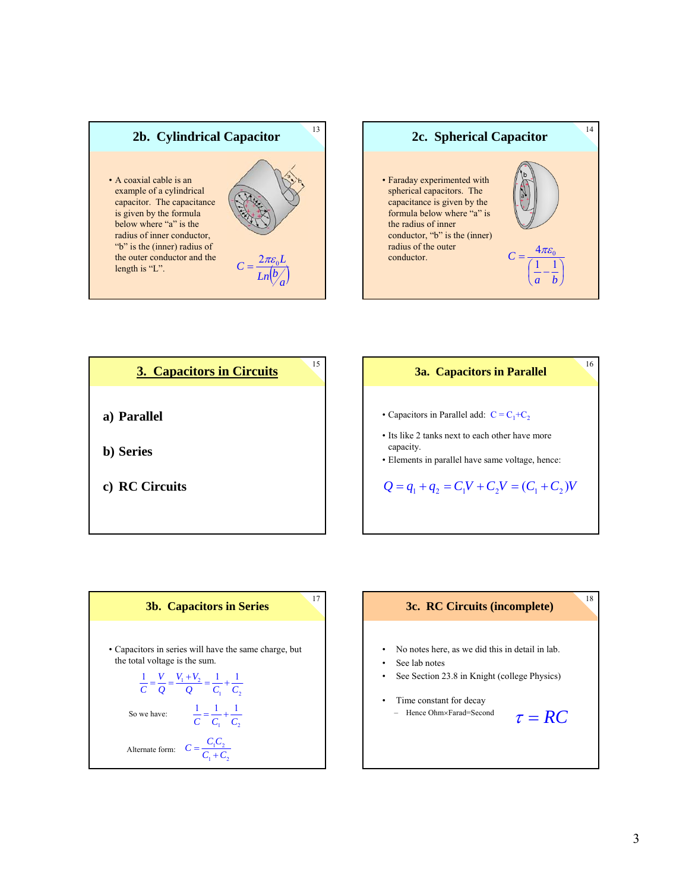







16

- Capacitors in Parallel add:  $C = C_1 + C_2$
- Its like 2 tanks next to each other have more capacity.
- Elements in parallel have same voltage, hence:

 $Q = q_1 + q_2 = C_1 V + C_2 V = (C_1 + C_2)V$ 



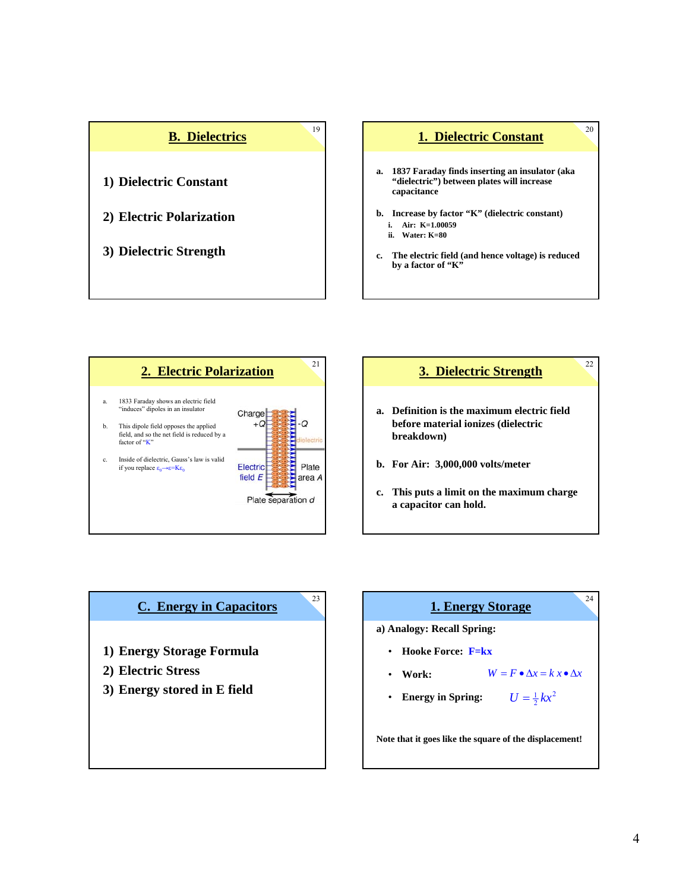







22

- **a. Definition is the maximum electric field before material ionizes (dielectric breakdown)**
- **b. For Air: 3,000,000 volts/meter**
- **c. This puts a limit on the maximum charge a capacitor can hold.**

## **C. Energy in Capacitors**

23

- **1) Energy Storage Formula**
- **2) Electric Stress**
- **3) Energy stored in E field**

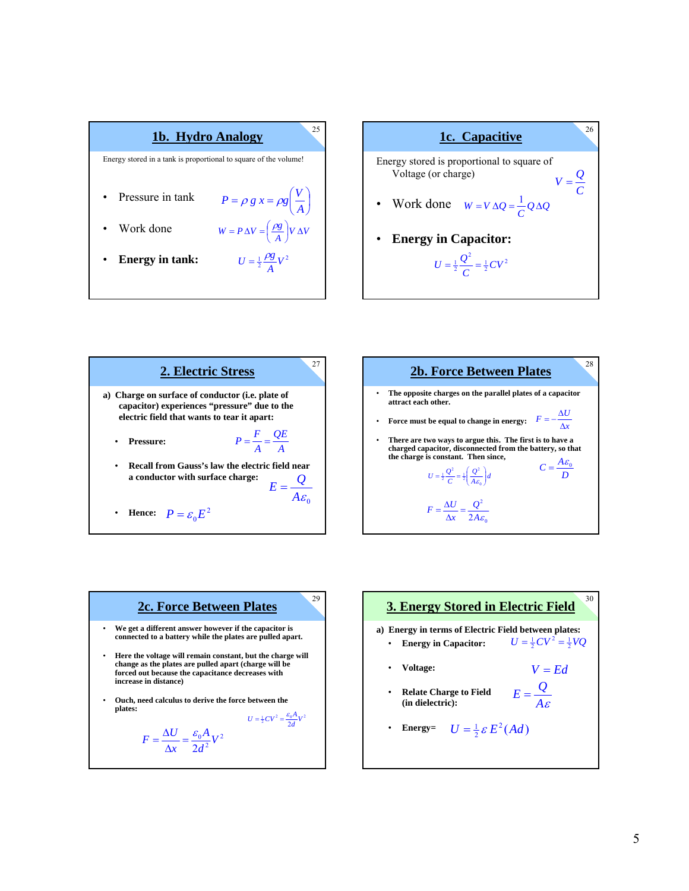